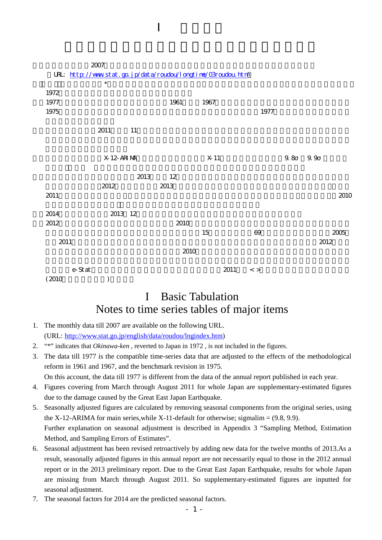|                                                              | $2007\,$    |        |        |                 |             |         |         |
|--------------------------------------------------------------|-------------|--------|--------|-----------------|-------------|---------|---------|
| URL: http://www.stat.go.jp/data/roudou/longtine/03roudou.htm |             |        |        |                 |             |         |         |
|                                                              | $\ast$      |        |        |                 |             |         |         |
| 1972                                                         |             |        |        |                 |             |         |         |
| 1977                                                         |             |        | 1961   | 1967            |             |         |         |
| 1975                                                         |             |        |        |                 | 1977        |         |         |
|                                                              | 2011        | $11\,$ |        |                 |             |         |         |
|                                                              | X 12-ARI MA |        |        | X <sub>11</sub> |             | $9.8\,$ | $9.9\,$ |
|                                                              |             | 2013   | $12\,$ |                 |             |         |         |
|                                                              | 2012        |        | 2013   |                 |             |         |         |
| 2011                                                         |             |        |        |                 |             |         | 2010    |
|                                                              |             |        |        |                 |             |         |         |
| 2014                                                         | 2013 12     |        |        |                 |             |         |         |
| 2012                                                         |             |        | 2010   |                 |             |         |         |
|                                                              |             |        |        | $15\,$          | 69          |         | 2005    |
| 2011                                                         |             |        | 2010   |                 |             |         | 2012    |
|                                                              |             |        |        |                 |             |         |         |
| e-Stat                                                       |             |        |        | 2011            | $\,<\,$ $>$ |         |         |
| (2010)                                                       | J           |        |        |                 |             |         |         |

## I Basic Tabulation Notes to time series tables of major items

- 1. The monthly data till 2007 are available on the following URL. (URL: [http://www.stat.go.jp/english/data/roudou/lngindex.htm\)](http://www.stat.go.jp/english/data/roudou/lngindex.htm)
- 2. "\*" indicates that *Okinawa-ken* , reverted to Japan in 1972 , is not included in the figures.
- 3. The data till 1977 is the compatible time-series data that are adjusted to the effects of the methodological reform in 1961 and 1967, and the benchmark revision in 1975. On this account, the data till 1977 is different from the data of the annual report published in each year.
- 4. Figures covering from March through August 2011 for whole Japan are supplementary-estimated figures due to the damage caused by the Great East Japan Earthquake.
- 5. Seasonally adjusted figures are calculated by removing seasonal components from the original series, using the X-12-ARIMA for main series, while X-11-default for otherwise; sigmalim =  $(9.8, 9.9)$ . Further explanation on seasonal adjustment is described in Appendix 3 "Sampling Method, Estimation Method, and Sampling Errors of Estimates".
- 6. Seasonal adjustment has been revised retroactively by adding new data for the twelve months of 2013.As a result, seasonally adjusted figures in this annual report are not necessarily equal to those in the 2012 annual report or in the 2013 preliminary report. Due to the Great East Japan Earthquake, results for whole Japan are missing from March through August 2011. So supplementary-estimated figures are inputted for seasonal adjustment.
- 7. The seasonal factors for 2014 are the predicted seasonal factors.